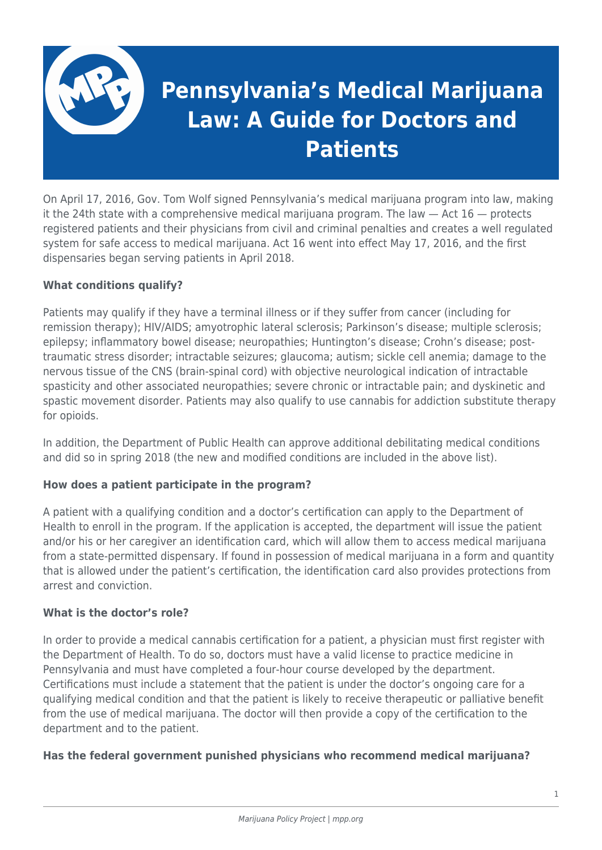

On April 17, 2016, Gov. Tom Wolf signed Pennsylvania's medical marijuana program into law, making it the 24th state with a comprehensive medical marijuana program. The law  $-$  Act  $16$   $-$  protects registered patients and their physicians from civil and criminal penalties and creates a well regulated system for safe access to medical marijuana. Act 16 went into effect May 17, 2016, and the first dispensaries began serving patients in April 2018.

# **What conditions qualify?**

Patients may qualify if they have a terminal illness or if they suffer from cancer (including for remission therapy); HIV/AIDS; amyotrophic lateral sclerosis; Parkinson's disease; multiple sclerosis; epilepsy; inflammatory bowel disease; neuropathies; Huntington's disease; Crohn's disease; posttraumatic stress disorder; intractable seizures; glaucoma; autism; sickle cell anemia; damage to the nervous tissue of the CNS (brain-spinal cord) with objective neurological indication of intractable spasticity and other associated neuropathies; severe chronic or intractable pain; and dyskinetic and spastic movement disorder. Patients may also qualify to use cannabis for addiction substitute therapy for opioids.

In addition, the Department of Public Health can approve additional debilitating medical conditions and did so in spring 2018 (the new and modified conditions are included in the above list).

### **How does a patient participate in the program?**

A patient with a qualifying condition and a doctor's certification can apply to the Department of Health to enroll in the program. If the application is accepted, the department will issue the patient and/or his or her caregiver an identification card, which will allow them to access medical marijuana from a state-permitted dispensary. If found in possession of medical marijuana in a form and quantity that is allowed under the patient's certification, the identification card also provides protections from arrest and conviction.

### **What is the doctor's role?**

In order to provide a medical cannabis certification for a patient, a physician must first register with the Department of Health. To do so, doctors must have a valid license to practice medicine in Pennsylvania and must have completed a four-hour course developed by the department. Certifications must include a statement that the patient is under the doctor's ongoing care for a qualifying medical condition and that the patient is likely to receive therapeutic or palliative benefit from the use of medical marijuana. The doctor will then provide a copy of the certification to the department and to the patient.

# **Has the federal government punished physicians who recommend medical marijuana?**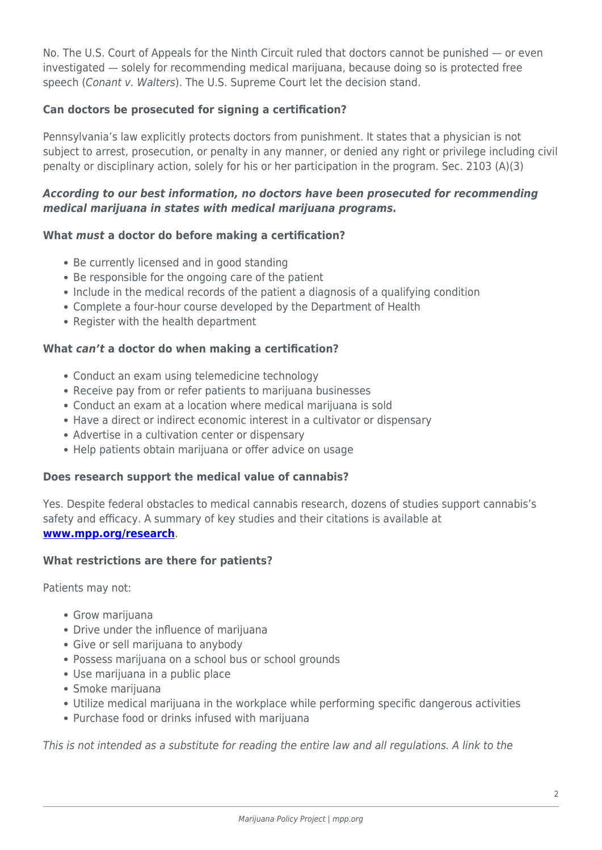No. The U.S. Court of Appeals for the Ninth Circuit ruled that doctors cannot be punished — or even investigated — solely for recommending medical marijuana, because doing so is protected free speech (Conant v. Walters). The U.S. Supreme Court let the decision stand.

# **Can doctors be prosecuted for signing a certification?**

Pennsylvania's law explicitly protects doctors from punishment. It states that a physician is not subject to arrest, prosecution, or penalty in any manner, or denied any right or privilege including civil penalty or disciplinary action, solely for his or her participation in the program. Sec. 2103 (A)(3)

### *According to our best information, no doctors have been prosecuted for recommending medical marijuana in states with medical marijuana programs.*

# **What** *must* **a doctor do before making a certification?**

- Be currently licensed and in good standing
- Be responsible for the ongoing care of the patient
- Include in the medical records of the patient a diagnosis of a qualifying condition
- Complete a four-hour course developed by the Department of Health
- Register with the health department

### **What** *can't* **a doctor do when making a certification?**

- Conduct an exam using telemedicine technology
- Receive pay from or refer patients to marijuana businesses
- Conduct an exam at a location where medical marijuana is sold
- Have a direct or indirect economic interest in a cultivator or dispensary
- Advertise in a cultivation center or dispensary
- Help patients obtain marijuana or offer advice on usage

### **Does research support the medical value of cannabis?**

Yes. Despite federal obstacles to medical cannabis research, dozens of studies support cannabis's safety and efficacy. A summary of key studies and their citations is available at **[www.mpp.org/research](https://www.mpp.org/research)**.

### **What restrictions are there for patients?**

Patients may not:

- Grow marijuana
- Drive under the influence of marijuana
- Give or sell marijuana to anybody
- Possess marijuana on a school bus or school grounds
- Use marijuana in a public place
- Smoke marijuana
- Utilize medical marijuana in the workplace while performing specific dangerous activities
- Purchase food or drinks infused with marijuana

This is not intended as a substitute for reading the entire law and all regulations. A link to the